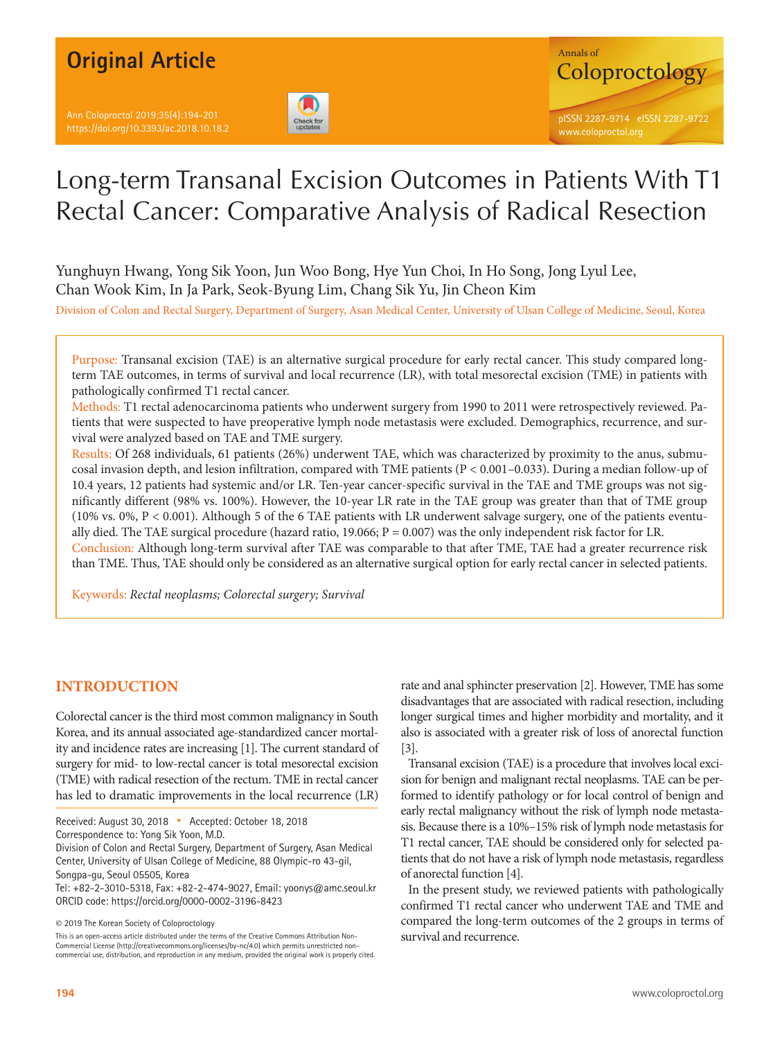Ann Coloproctol 2019;35(4):194-201 https://doi.org/10.3393/ac.2018.10.18.2





# Long-term Transanal Excision Outcomes in Patients With T1 Rectal Cancer: Comparative Analysis of Radical Resection

Yunghuyn Hwang, Yong Sik Yoon, Jun Woo Bong, Hye Yun Choi, In Ho Song, Jong Lyul Lee, Chan Wook Kim, In Ja Park, Seok-Byung Lim, Chang Sik Yu, Jin Cheon Kim

Division of Colon and Rectal Surgery, Department of Surgery, Asan Medical Center, University of Ulsan College of Medicine, Seoul, Korea

Purpose: Transanal excision (TAE) is an alternative surgical procedure for early rectal cancer. This study compared longterm TAE outcomes, in terms of survival and local recurrence (LR), with total mesorectal excision (TME) in patients with pathologically confirmed T1 rectal cancer.

Methods: T1 rectal adenocarcinoma patients who underwent surgery from 1990 to 2011 were retrospectively reviewed. Patients that were suspected to have preoperative lymph node metastasis were excluded. Demographics, recurrence, and survival were analyzed based on TAE and TME surgery.

Results: Of 268 individuals, 61 patients (26%) underwent TAE, which was characterized by proximity to the anus, submucosal invasion depth, and lesion infiltration, compared with TME patients (P < 0.001–0.033). During a median follow-up of 10.4 years, 12 patients had systemic and/or LR. Ten-year cancer-specific survival in the TAE and TME groups was not significantly different (98% vs. 100%). However, the 10-year LR rate in the TAE group was greater than that of TME group (10% vs. 0%, P < 0.001). Although 5 of the 6 TAE patients with LR underwent salvage surgery, one of the patients eventually died. The TAE surgical procedure (hazard ratio,  $19.066$ ;  $P = 0.007$ ) was the only independent risk factor for LR. Conclusion: Although long-term survival after TAE was comparable to that after TME, TAE had a greater recurrence risk than TME. Thus, TAE should only be considered as an alternative surgical option for early rectal cancer in selected patients.

Keywords: *Rectal neoplasms; Colorectal surgery; Survival*

# **INTRODUCTION**

Colorectal cancer is the third most common malignancy in South Korea, and its annual associated age-standardized cancer mortality and incidence rates are increasing [1]. The current standard of surgery for mid- to low-rectal cancer is total mesorectal excision (TME) with radical resection of the rectum. TME in rectal cancer has led to dramatic improvements in the local recurrence (LR)

Received: August 30, 2018 • Accepted: October 18, 2018

Division of Colon and Rectal Surgery, Department of Surgery, Asan Medical Center, University of Ulsan College of Medicine, 88 Olympic-ro 43-gil, Songpa-gu, Seoul 05505, Korea

Tel: +82-2-3010-5318, Fax: +82-2-474-9027, Email: yoonys@amc.seoul.kr ORCID code: https://orcid.org/0000-0002-3196-8423

This is an open-access article distributed under the terms of the Creative Commons Attribution Non-Commercial License (http://creativecommons.org/licenses/by-nc/4.0) which permits unrestricted noncommercial use, distribution, and reproduction in any medium, provided the original work is properly cited. rate and anal sphincter preservation [2]. However, TME has some disadvantages that are associated with radical resection, including longer surgical times and higher morbidity and mortality, and it also is associated with a greater risk of loss of anorectal function [3].

Transanal excision (TAE) is a procedure that involves local excision for benign and malignant rectal neoplasms. TAE can be performed to identify pathology or for local control of benign and early rectal malignancy without the risk of lymph node metastasis. Because there is a 10%–15% risk of lymph node metastasis for T1 rectal cancer, TAE should be considered only for selected patients that do not have a risk of lymph node metastasis, regardless of anorectal function [4].

In the present study, we reviewed patients with pathologically confirmed T1 rectal cancer who underwent TAE and TME and compared the long-term outcomes of the 2 groups in terms of survival and recurrence.

Correspondence to: Yong Sik Yoon, M.D.

<sup>©</sup> 2019 The Korean Society of Coloproctology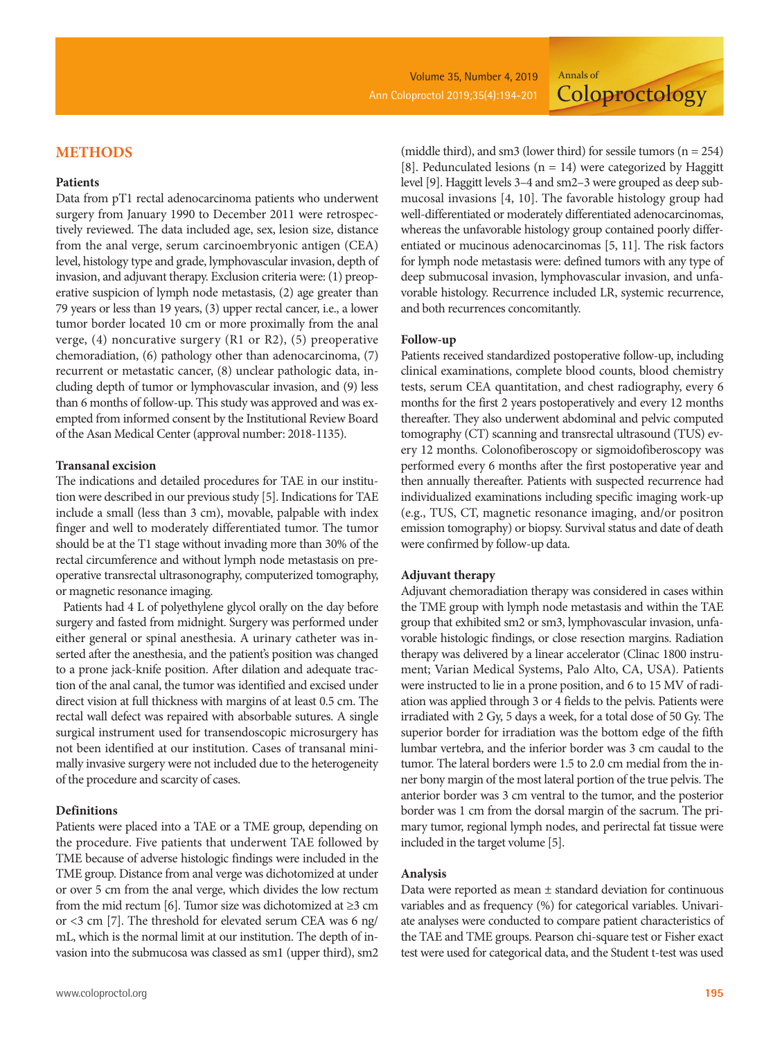**Coloproctology** 

## **METHODS**

### **Patients**

Data from pT1 rectal adenocarcinoma patients who underwent surgery from January 1990 to December 2011 were retrospectively reviewed. The data included age, sex, lesion size, distance from the anal verge, serum carcinoembryonic antigen (CEA) level, histology type and grade, lymphovascular invasion, depth of invasion, and adjuvant therapy. Exclusion criteria were: (1) preoperative suspicion of lymph node metastasis, (2) age greater than 79 years or less than 19 years, (3) upper rectal cancer, i.e., a lower tumor border located 10 cm or more proximally from the anal verge, (4) noncurative surgery (R1 or R2), (5) preoperative chemoradiation, (6) pathology other than adenocarcinoma, (7) recurrent or metastatic cancer, (8) unclear pathologic data, including depth of tumor or lymphovascular invasion, and (9) less than 6 months of follow-up. This study was approved and was exempted from informed consent by the Institutional Review Board of the Asan Medical Center (approval number: 2018-1135).

#### **Transanal excision**

The indications and detailed procedures for TAE in our institution were described in our previous study [5]. Indications for TAE include a small (less than 3 cm), movable, palpable with index finger and well to moderately differentiated tumor. The tumor should be at the T1 stage without invading more than 30% of the rectal circumference and without lymph node metastasis on preoperative transrectal ultrasonography, computerized tomography, or magnetic resonance imaging.

Patients had 4 L of polyethylene glycol orally on the day before surgery and fasted from midnight. Surgery was performed under either general or spinal anesthesia. A urinary catheter was inserted after the anesthesia, and the patient's position was changed to a prone jack-knife position. After dilation and adequate traction of the anal canal, the tumor was identified and excised under direct vision at full thickness with margins of at least 0.5 cm. The rectal wall defect was repaired with absorbable sutures. A single surgical instrument used for transendoscopic microsurgery has not been identified at our institution. Cases of transanal minimally invasive surgery were not included due to the heterogeneity of the procedure and scarcity of cases.

## **Definitions**

Patients were placed into a TAE or a TME group, depending on the procedure. Five patients that underwent TAE followed by TME because of adverse histologic findings were included in the TME group. Distance from anal verge was dichotomized at under or over 5 cm from the anal verge, which divides the low rectum from the mid rectum [6]. Tumor size was dichotomized at  $\geq$ 3 cm or <3 cm [7]. The threshold for elevated serum CEA was 6 ng/ mL, which is the normal limit at our institution. The depth of invasion into the submucosa was classed as sm1 (upper third), sm2

(middle third), and sm3 (lower third) for sessile tumors ( $n = 254$ ) [8]. Pedunculated lesions ( $n = 14$ ) were categorized by Haggitt level [9]. Haggitt levels 3–4 and sm2–3 were grouped as deep submucosal invasions [4, 10]. The favorable histology group had well-differentiated or moderately differentiated adenocarcinomas, whereas the unfavorable histology group contained poorly differentiated or mucinous adenocarcinomas [5, 11]. The risk factors for lymph node metastasis were: defined tumors with any type of deep submucosal invasion, lymphovascular invasion, and unfavorable histology. Recurrence included LR, systemic recurrence, and both recurrences concomitantly.

Annals of

#### **Follow-up**

Patients received standardized postoperative follow-up, including clinical examinations, complete blood counts, blood chemistry tests, serum CEA quantitation, and chest radiography, every 6 months for the first 2 years postoperatively and every 12 months thereafter. They also underwent abdominal and pelvic computed tomography (CT) scanning and transrectal ultrasound (TUS) every 12 months. Colonofiberoscopy or sigmoidofiberoscopy was performed every 6 months after the first postoperative year and then annually thereafter. Patients with suspected recurrence had individualized examinations including specific imaging work-up (e.g., TUS, CT, magnetic resonance imaging, and/or positron emission tomography) or biopsy. Survival status and date of death were confirmed by follow-up data.

#### **Adjuvant therapy**

Adjuvant chemoradiation therapy was considered in cases within the TME group with lymph node metastasis and within the TAE group that exhibited sm2 or sm3, lymphovascular invasion, unfavorable histologic findings, or close resection margins. Radiation therapy was delivered by a linear accelerator (Clinac 1800 instrument; Varian Medical Systems, Palo Alto, CA, USA). Patients were instructed to lie in a prone position, and 6 to 15 MV of radiation was applied through 3 or 4 fields to the pelvis. Patients were irradiated with 2 Gy, 5 days a week, for a total dose of 50 Gy. The superior border for irradiation was the bottom edge of the fifth lumbar vertebra, and the inferior border was 3 cm caudal to the tumor. The lateral borders were 1.5 to 2.0 cm medial from the inner bony margin of the most lateral portion of the true pelvis. The anterior border was 3 cm ventral to the tumor, and the posterior border was 1 cm from the dorsal margin of the sacrum. The primary tumor, regional lymph nodes, and perirectal fat tissue were included in the target volume [5].

#### **Analysis**

Data were reported as mean ± standard deviation for continuous variables and as frequency (%) for categorical variables. Univariate analyses were conducted to compare patient characteristics of the TAE and TME groups. Pearson chi-square test or Fisher exact test were used for categorical data, and the Student t-test was used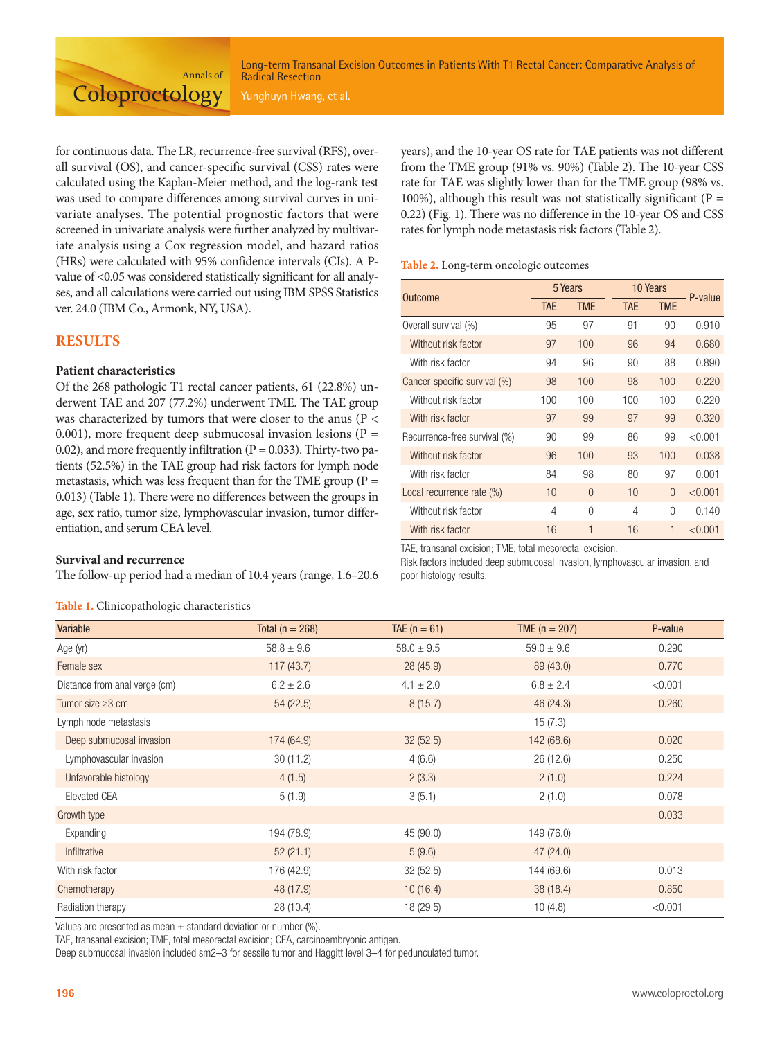Long-term Transanal Excision Outcomes in Patients With T1 Rectal Cancer: Comparative Analysis of Radical Resection

for continuous data. The LR, recurrence-free survival (RFS), overall survival (OS), and cancer-specific survival (CSS) rates were calculated using the Kaplan-Meier method, and the log-rank test was used to compare differences among survival curves in univariate analyses. The potential prognostic factors that were screened in univariate analysis were further analyzed by multivariate analysis using a Cox regression model, and hazard ratios (HRs) were calculated with 95% confidence intervals (CIs). A Pvalue of <0.05 was considered statistically significant for all analyses, and all calculations were carried out using IBM SPSS Statistics ver. 24.0 (IBM Co., Armonk, NY, USA).

Annals of

**Coloproctology** 

## **RESULTS**

## **Patient characteristics**

Of the 268 pathologic T1 rectal cancer patients, 61 (22.8%) underwent TAE and 207 (77.2%) underwent TME. The TAE group was characterized by tumors that were closer to the anus (P < 0.001), more frequent deep submucosal invasion lesions ( $P =$ 0.02), and more frequently infiltration ( $P = 0.033$ ). Thirty-two patients (52.5%) in the TAE group had risk factors for lymph node metastasis, which was less frequent than for the TME group ( $P =$ 0.013) (Table 1). There were no differences between the groups in age, sex ratio, tumor size, lymphovascular invasion, tumor differentiation, and serum CEA level.

## **Survival and recurrence**

The follow-up period had a median of 10.4 years (range, 1.6–20.6

**Table 1.** Clinicopathologic characteristics

years), and the 10-year OS rate for TAE patients was not different from the TME group (91% vs. 90%) (Table 2). The 10-year CSS rate for TAE was slightly lower than for the TME group (98% vs. 100%), although this result was not statistically significant ( $P =$ 0.22) (Fig. 1). There was no difference in the 10-year OS and CSS rates for lymph node metastasis risk factors (Table 2).

#### **Table 2.** Long-term oncologic outcomes

| Outcome                      | 5 Years    |            |            | 10 Years   |         |
|------------------------------|------------|------------|------------|------------|---------|
|                              | <b>TAE</b> | <b>TME</b> | <b>TAE</b> | <b>TME</b> | P-value |
| Overall survival (%)         | 95         | 97         | 91         | 90         | 0.910   |
| Without risk factor          | 97         | 100        | 96         | 94         | 0.680   |
| With risk factor             | 94         | 96         | 90         | 88         | 0.890   |
| Cancer-specific survival (%) | 98         | 100        | 98         | 100        | 0.220   |
| Without risk factor          | 100        | 100        | 100        | 100        | 0.220   |
| With risk factor             | 97         | 99         | 97         | 99         | 0.320   |
| Recurrence-free survival (%) | 90         | 99         | 86         | 99         | < 0.001 |
| Without risk factor          | 96         | 100        | 93         | 100        | 0.038   |
| With risk factor             | 84         | 98         | 80         | 97         | 0.001   |
| Local recurrence rate (%)    | 10         | $\Omega$   | 10         | $\Omega$   | < 0.001 |
| Without risk factor          | 4          | $\Omega$   | 4          | 0          | 0.140   |
| With risk factor             | 16         | 1          | 16         | 1          | < 0.001 |

TAE, transanal excision; TME, total mesorectal excision.

Risk factors included deep submucosal invasion, lymphovascular invasion, and poor histology results.

| Variable                      | Total ( $n = 268$ ) | TAE $(n = 61)$ | TME $(n = 207)$ | P-value |
|-------------------------------|---------------------|----------------|-----------------|---------|
| Age (yr)                      | $58.8 \pm 9.6$      | $58.0 \pm 9.5$ | $59.0 \pm 9.6$  | 0.290   |
| Female sex                    | 117(43.7)           | 28(45.9)       | 89 (43.0)       | 0.770   |
| Distance from anal verge (cm) | $6.2 \pm 2.6$       | $4.1 \pm 2.0$  | $6.8 \pm 2.4$   | < 0.001 |
| Tumor size $\geq 3$ cm        | 54(22.5)            | 8(15.7)        | 46 (24.3)       | 0.260   |
| Lymph node metastasis         |                     |                | 15(7.3)         |         |
| Deep submucosal invasion      | 174(64.9)           | 32(52.5)       | 142 (68.6)      | 0.020   |
| Lymphovascular invasion       | 30(11.2)            | 4(6.6)         | 26 (12.6)       | 0.250   |
| Unfavorable histology         | 4(1.5)              | 2(3.3)         | 2(1.0)          | 0.224   |
| Elevated CEA                  | 5(1.9)              | 3(5.1)         | 2(1.0)          | 0.078   |
| Growth type                   |                     |                |                 | 0.033   |
| Expanding                     | 194 (78.9)          | 45 (90.0)      | 149 (76.0)      |         |
| Infiltrative                  | 52(21.1)            | 5(9.6)         | 47(24.0)        |         |
| With risk factor              | 176 (42.9)          | 32(52.5)       | 144 (69.6)      | 0.013   |
| Chemotherapy                  | 48 (17.9)           | 10(16.4)       | 38 (18.4)       | 0.850   |
| Radiation therapy             | 28(10.4)            | 18 (29.5)      | 10(4.8)         | < 0.001 |

Values are presented as mean  $\pm$  standard deviation or number (%).

TAE, transanal excision; TME, total mesorectal excision; CEA, carcinoembryonic antigen.

Deep submucosal invasion included sm2–3 for sessile tumor and Haggitt level 3–4 for pedunculated tumor.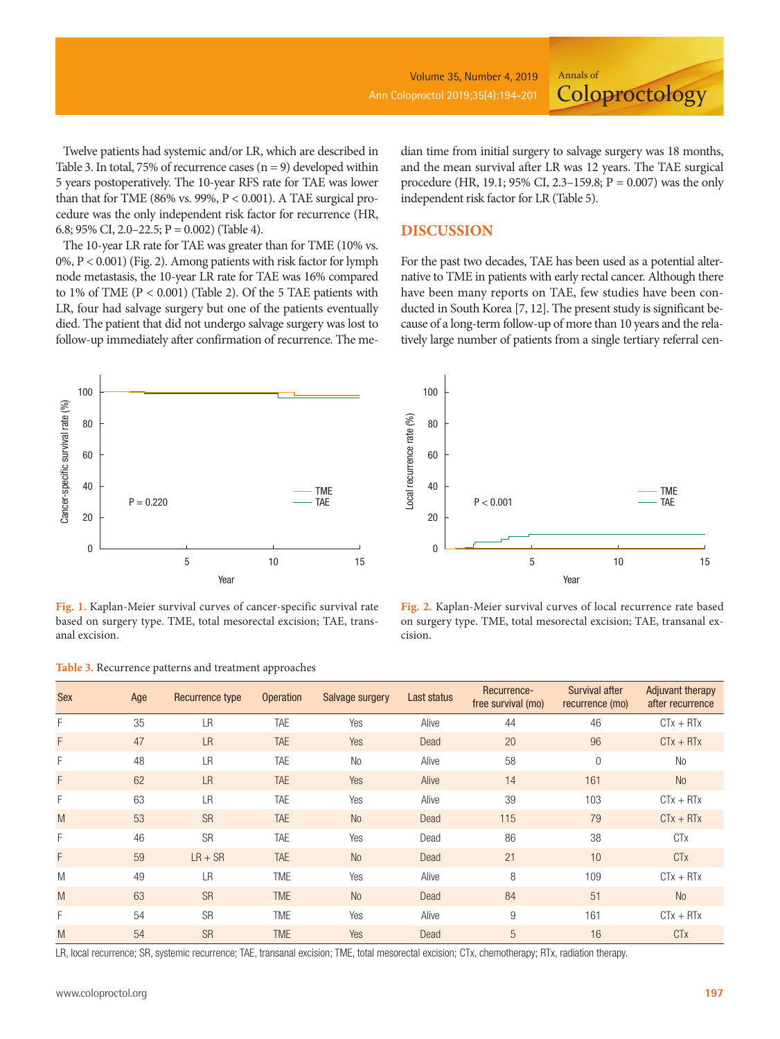Volume 35, Number 4, 2019 Ann Coloproctol 2019;35(4):194-201

**Coloproctology** 

Twelve patients had systemic and/or LR, which are described in Table 3. In total, 75% of recurrence cases  $(n = 9)$  developed within 5 years postoperatively. The 10-year RFS rate for TAE was lower than that for TME (86% vs. 99%, P < 0.001). A TAE surgical procedure was the only independent risk factor for recurrence (HR, 6.8; 95% CI, 2.0–22.5;  $P = 0.002$ ) (Table 4).

The 10-year LR rate for TAE was greater than for TME (10% vs. 0%, P < 0.001) (Fig. 2). Among patients with risk factor for lymph node metastasis, the 10-year LR rate for TAE was 16% compared to 1% of TME (P < 0.001) (Table 2). Of the 5 TAE patients with LR, four had salvage surgery but one of the patients eventually died. The patient that did not undergo salvage surgery was lost to follow-up immediately after confirmation of recurrence. The median time from initial surgery to salvage surgery was 18 months, and the mean survival after LR was 12 years. The TAE surgical procedure (HR, 19.1; 95% CI, 2.3–159.8; P = 0.007) was the only independent risk factor for LR (Table 5).

Annals of

## **DISCUSSION**

For the past two decades, TAE has been used as a potential alternative to TME in patients with early rectal cancer. Although there have been many reports on TAE, few studies have been conducted in South Korea [7, 12]. The present study is significant because of a long-term follow-up of more than 10 years and the relatively large number of patients from a single tertiary referral cen-



**Fig. 1.** Kaplan-Meier survival curves of cancer-specific survival rate based on surgery type. TME, total mesorectal excision; TAE, transanal excision.

**Table 3.** Recurrence patterns and treatment approaches



**Fig. 2.** Kaplan-Meier survival curves of local recurrence rate based on surgery type. TME, total mesorectal excision; TAE, transanal excision.

| <b>Sex</b> | Age | Recurrence type | <b>Operation</b> | Salvage surgery | Last status | Recurrence-<br>free survival (mo) | Survival after<br>recurrence (mo) | <b>Adjuvant therapy</b><br>after recurrence |
|------------|-----|-----------------|------------------|-----------------|-------------|-----------------------------------|-----------------------------------|---------------------------------------------|
| F          | 35  | LR              | TAE              | Yes             | Alive       | 44                                | 46                                | $CTx + RTx$                                 |
| F          | 47  | <b>LR</b>       | <b>TAE</b>       | Yes             | Dead        | 20                                | 96                                | $CTx + RTx$                                 |
| F          | 48  | <b>LR</b>       | <b>TAE</b>       | <b>No</b>       | Alive       | 58                                | $\Omega$                          | <b>No</b>                                   |
| F          | 62  | <b>LR</b>       | <b>TAE</b>       | Yes             | Alive       | 14                                | 161                               | <b>No</b>                                   |
| F          | 63  | <b>LR</b>       | <b>TAE</b>       | Yes             | Alive       | 39                                | 103                               | $CTx + RTx$                                 |
| M          | 53  | <b>SR</b>       | <b>TAE</b>       | N <sub>o</sub>  | Dead        | 115                               | 79                                | $CTx + RTx$                                 |
| F          | 46  | <b>SR</b>       | <b>TAE</b>       | Yes             | Dead        | 86                                | 38                                | <b>CT<sub>X</sub></b>                       |
| F          | 59  | $LR + SR$       | <b>TAE</b>       | <b>No</b>       | Dead        | 21                                | 10                                | <b>CT<sub>X</sub></b>                       |
| M          | 49  | LR              | <b>TME</b>       | Yes             | Alive       | 8                                 | 109                               | $CTx + RTx$                                 |
| M          | 63  | <b>SR</b>       | <b>TME</b>       | <b>No</b>       | Dead        | 84                                | 51                                | <b>No</b>                                   |
| F          | 54  | <b>SR</b>       | <b>TME</b>       | Yes             | Alive       | 9                                 | 161                               | $CTx + RTx$                                 |
| M          | 54  | <b>SR</b>       | <b>TME</b>       | Yes             | Dead        | 5                                 | 16                                | <b>CT<sub>X</sub></b>                       |

LR, local recurrence; SR, systemic recurrence; TAE, transanal excision; TME, total mesorectal excision; CTx, chemotherapy; RTx, radiation therapy.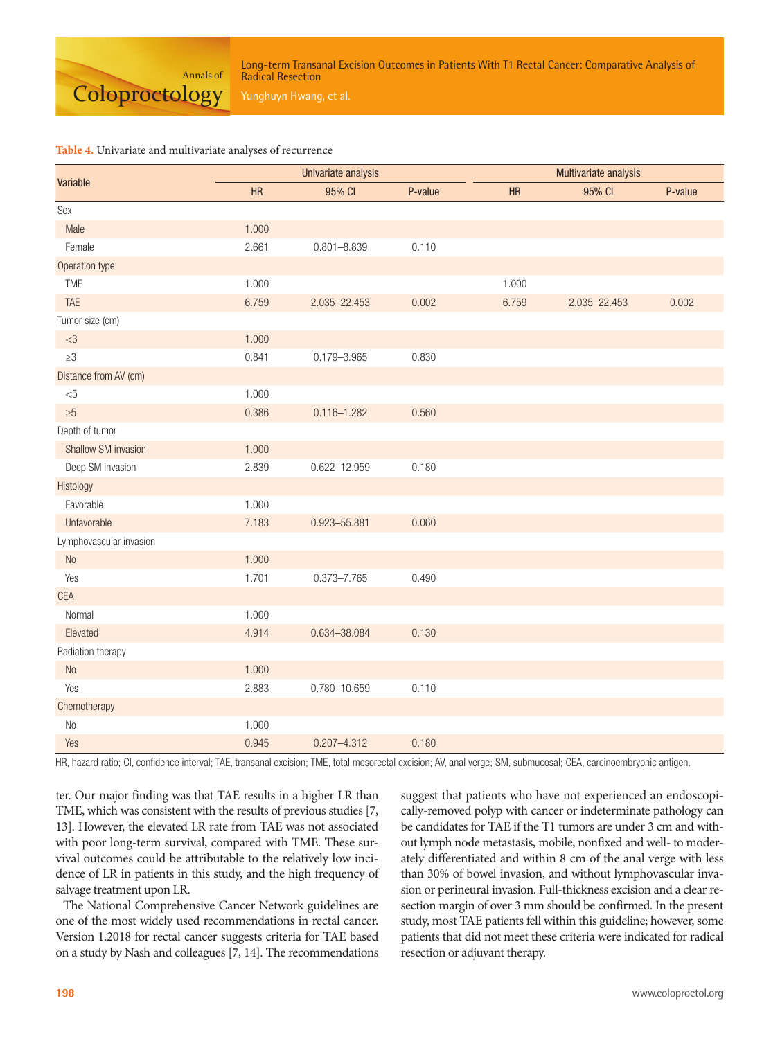

Long-term Transanal Excision Outcomes in Patients With T1 Rectal Cancer: Comparative Analysis of Radical Resection

## **Table 4.** Univariate and multivariate analyses of recurrence

| Variable                |       | Univariate analysis |         | Multivariate analysis |              |         |  |
|-------------------------|-------|---------------------|---------|-----------------------|--------------|---------|--|
|                         | HR    | 95% CI              | P-value | HR                    | 95% CI       | P-value |  |
| Sex                     |       |                     |         |                       |              |         |  |
| Male                    | 1.000 |                     |         |                       |              |         |  |
| Female                  | 2.661 | $0.801 - 8.839$     | 0.110   |                       |              |         |  |
| Operation type          |       |                     |         |                       |              |         |  |
| TME                     | 1.000 |                     |         | 1.000                 |              |         |  |
| TAE                     | 6.759 | 2.035-22.453        | 0.002   | 6.759                 | 2.035-22.453 | 0.002   |  |
| Tumor size (cm)         |       |                     |         |                       |              |         |  |
| $<3\,$                  | 1.000 |                     |         |                       |              |         |  |
| $\geq 3$                | 0.841 | $0.179 - 3.965$     | 0.830   |                       |              |         |  |
| Distance from AV (cm)   |       |                     |         |                       |              |         |  |
| $< \!\! 5$              | 1.000 |                     |         |                       |              |         |  |
| $\geq 5$                | 0.386 | $0.116 - 1.282$     | 0.560   |                       |              |         |  |
| Depth of tumor          |       |                     |         |                       |              |         |  |
| Shallow SM invasion     | 1.000 |                     |         |                       |              |         |  |
| Deep SM invasion        | 2.839 | $0.622 - 12.959$    | 0.180   |                       |              |         |  |
| Histology               |       |                     |         |                       |              |         |  |
| Favorable               | 1.000 |                     |         |                       |              |         |  |
| Unfavorable             | 7.183 | 0.923-55.881        | 0.060   |                       |              |         |  |
| Lymphovascular invasion |       |                     |         |                       |              |         |  |
| No                      | 1.000 |                     |         |                       |              |         |  |
| Yes                     | 1.701 | $0.373 - 7.765$     | 0.490   |                       |              |         |  |
| <b>CEA</b>              |       |                     |         |                       |              |         |  |
| Normal                  | 1.000 |                     |         |                       |              |         |  |
| Elevated                | 4.914 | 0.634-38.084        | 0.130   |                       |              |         |  |
| Radiation therapy       |       |                     |         |                       |              |         |  |
| No                      | 1.000 |                     |         |                       |              |         |  |
| Yes                     | 2.883 | 0.780-10.659        | 0.110   |                       |              |         |  |
| Chemotherapy            |       |                     |         |                       |              |         |  |
| No                      | 1.000 |                     |         |                       |              |         |  |
| Yes                     | 0.945 | $0.207 - 4.312$     | 0.180   |                       |              |         |  |

HR, hazard ratio; CI, confidence interval; TAE, transanal excision; TME, total mesorectal excision; AV, anal verge; SM, submucosal; CEA, carcinoembryonic antigen.

ter. Our major finding was that TAE results in a higher LR than TME, which was consistent with the results of previous studies [7, 13]. However, the elevated LR rate from TAE was not associated with poor long-term survival, compared with TME. These survival outcomes could be attributable to the relatively low incidence of LR in patients in this study, and the high frequency of salvage treatment upon LR.

The National Comprehensive Cancer Network guidelines are one of the most widely used recommendations in rectal cancer. Version 1.2018 for rectal cancer suggests criteria for TAE based on a study by Nash and colleagues [7, 14]. The recommendations suggest that patients who have not experienced an endoscopically-removed polyp with cancer or indeterminate pathology can be candidates for TAE if the T1 tumors are under 3 cm and without lymph node metastasis, mobile, nonfixed and well- to moderately differentiated and within 8 cm of the anal verge with less than 30% of bowel invasion, and without lymphovascular invasion or perineural invasion. Full-thickness excision and a clear resection margin of over 3 mm should be confirmed. In the present study, most TAE patients fell within this guideline; however, some patients that did not meet these criteria were indicated for radical resection or adjuvant therapy.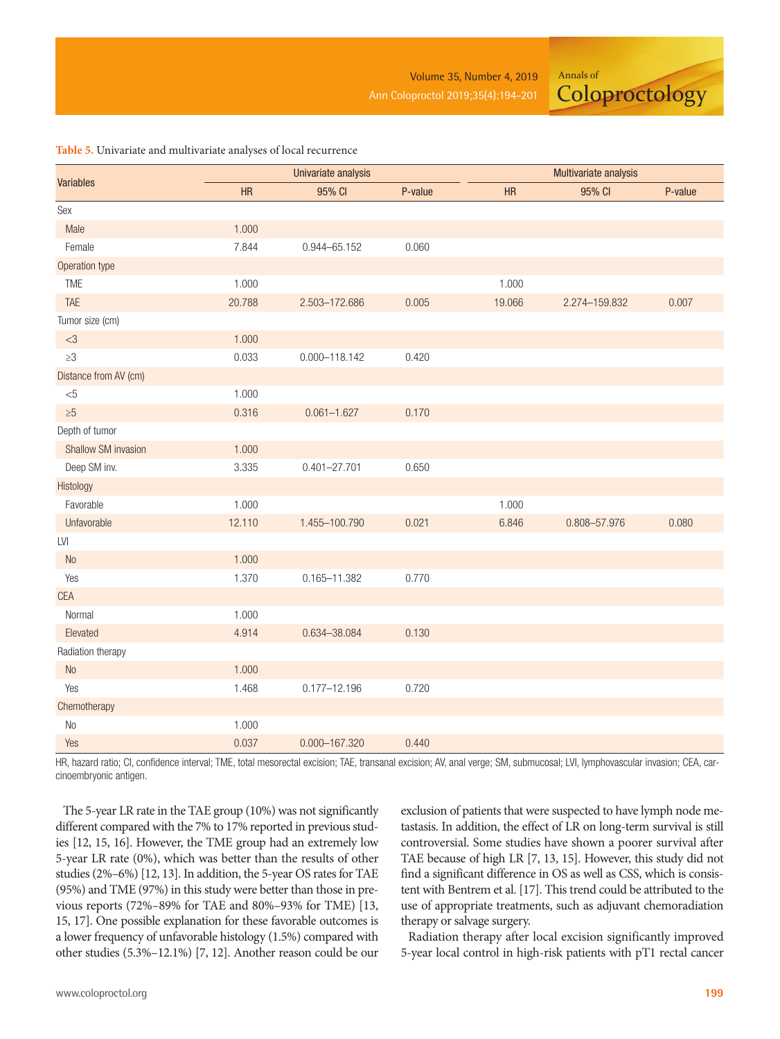Annals of

**Coloproctology** 

### **Table 5.** Univariate and multivariate analyses of local recurrence

|                             |        | Univariate analysis |         | Multivariate analysis |               |         |  |
|-----------------------------|--------|---------------------|---------|-----------------------|---------------|---------|--|
| <b>Variables</b>            | HR     | 95% CI              | P-value | HR                    | 95% CI        | P-value |  |
| Sex                         |        |                     |         |                       |               |         |  |
| Male                        | 1.000  |                     |         |                       |               |         |  |
| Female                      | 7.844  | $0.944 - 65.152$    | 0.060   |                       |               |         |  |
| Operation type              |        |                     |         |                       |               |         |  |
| <b>TME</b>                  | 1.000  |                     |         | 1.000                 |               |         |  |
| <b>TAE</b>                  | 20.788 | 2.503-172.686       | 0.005   | 19.066                | 2.274-159.832 | 0.007   |  |
| Tumor size (cm)             |        |                     |         |                       |               |         |  |
| $<3\,$                      | 1.000  |                     |         |                       |               |         |  |
| $\geq 3$                    | 0.033  | $0.000 - 118.142$   | 0.420   |                       |               |         |  |
| Distance from AV (cm)       |        |                     |         |                       |               |         |  |
| $< \!\! 5$                  | 1.000  |                     |         |                       |               |         |  |
| $\geq 5$                    | 0.316  | $0.061 - 1.627$     | 0.170   |                       |               |         |  |
| Depth of tumor              |        |                     |         |                       |               |         |  |
| <b>Shallow SM invasion</b>  | 1.000  |                     |         |                       |               |         |  |
| Deep SM inv.                | 3.335  | $0.401 - 27.701$    | 0.650   |                       |               |         |  |
| Histology                   |        |                     |         |                       |               |         |  |
| Favorable                   | 1.000  |                     |         | 1.000                 |               |         |  |
| Unfavorable                 | 12.110 | 1.455-100.790       | 0.021   | 6.846                 | 0.808-57.976  | 0.080   |  |
| $\ensuremath{\mathsf{LVI}}$ |        |                     |         |                       |               |         |  |
| No                          | 1.000  |                     |         |                       |               |         |  |
| Yes                         | 1.370  | $0.165 - 11.382$    | 0.770   |                       |               |         |  |
| <b>CEA</b>                  |        |                     |         |                       |               |         |  |
| Normal                      | 1.000  |                     |         |                       |               |         |  |
| Elevated                    | 4.914  | 0.634-38.084        | 0.130   |                       |               |         |  |
| Radiation therapy           |        |                     |         |                       |               |         |  |
| $\rm No$                    | 1.000  |                     |         |                       |               |         |  |
| Yes                         | 1.468  | $0.177 - 12.196$    | 0.720   |                       |               |         |  |
| Chemotherapy                |        |                     |         |                       |               |         |  |
| $\rm No$                    | 1.000  |                     |         |                       |               |         |  |
| Yes                         | 0.037  | 0.000-167.320       | 0.440   |                       |               |         |  |

HR, hazard ratio; CI, confidence interval; TME, total mesorectal excision; TAE, transanal excision; AV, anal verge; SM, submucosal; LVI, lymphovascular invasion; CEA, carcinoembryonic antigen.

The 5-year LR rate in the TAE group (10%) was not significantly different compared with the 7% to 17% reported in previous studies [12, 15, 16]. However, the TME group had an extremely low 5-year LR rate (0%), which was better than the results of other studies (2%–6%) [12, 13]. In addition, the 5-year OS rates for TAE (95%) and TME (97%) in this study were better than those in previous reports (72%–89% for TAE and 80%–93% for TME) [13, 15, 17]. One possible explanation for these favorable outcomes is a lower frequency of unfavorable histology (1.5%) compared with other studies (5.3%–12.1%) [7, 12]. Another reason could be our exclusion of patients that were suspected to have lymph node metastasis. In addition, the effect of LR on long-term survival is still controversial. Some studies have shown a poorer survival after TAE because of high LR [7, 13, 15]. However, this study did not find a significant difference in OS as well as CSS, which is consistent with Bentrem et al. [17]. This trend could be attributed to the use of appropriate treatments, such as adjuvant chemoradiation therapy or salvage surgery.

Radiation therapy after local excision significantly improved 5-year local control in high-risk patients with pT1 rectal cancer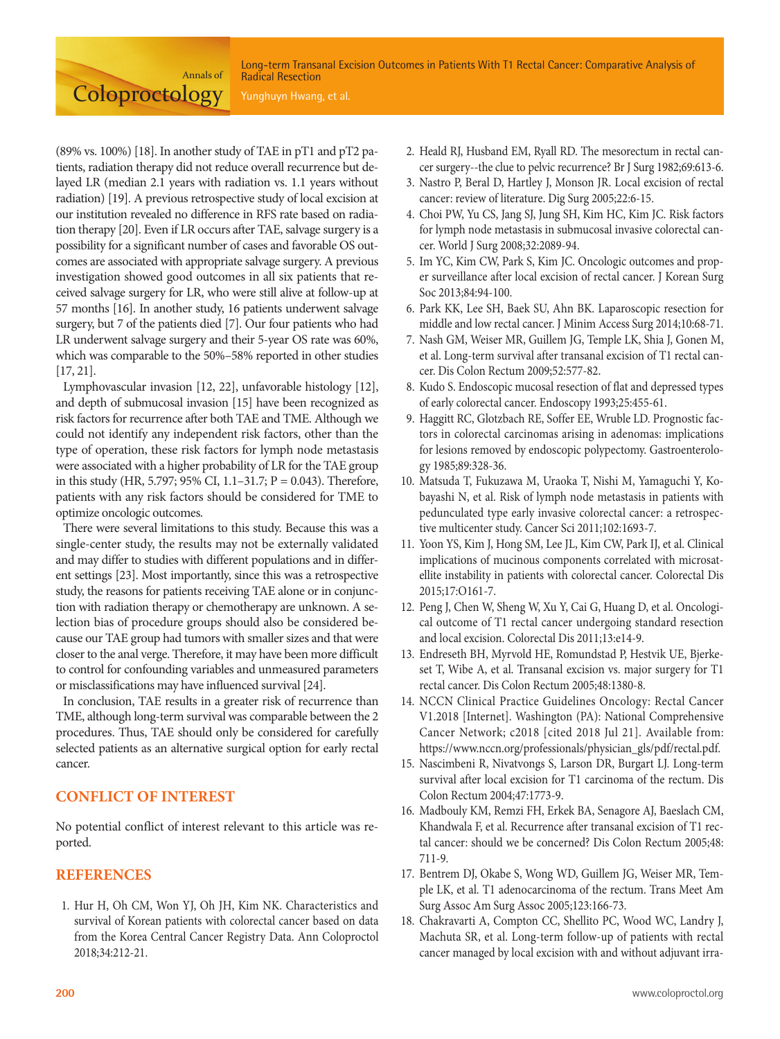Long-term Transanal Excision Outcomes in Patients With T1 Rectal Cancer: Comparative Analysis of Radical Resection

(89% vs. 100%) [18]. In another study of TAE in pT1 and pT2 patients, radiation therapy did not reduce overall recurrence but delayed LR (median 2.1 years with radiation vs. 1.1 years without radiation) [19]. A previous retrospective study of local excision at our institution revealed no difference in RFS rate based on radiation therapy [20]. Even if LR occurs after TAE, salvage surgery is a possibility for a significant number of cases and favorable OS outcomes are associated with appropriate salvage surgery. A previous investigation showed good outcomes in all six patients that received salvage surgery for LR, who were still alive at follow-up at 57 months [16]. In another study, 16 patients underwent salvage surgery, but 7 of the patients died [7]. Our four patients who had LR underwent salvage surgery and their 5-year OS rate was 60%, which was comparable to the 50%–58% reported in other studies [17, 21].

Annals of

**Coloproctology** 

Lymphovascular invasion [12, 22], unfavorable histology [12], and depth of submucosal invasion [15] have been recognized as risk factors for recurrence after both TAE and TME. Although we could not identify any independent risk factors, other than the type of operation, these risk factors for lymph node metastasis were associated with a higher probability of LR for the TAE group in this study (HR, 5.797; 95% CI, 1.1–31.7; P = 0.043). Therefore, patients with any risk factors should be considered for TME to optimize oncologic outcomes.

There were several limitations to this study. Because this was a single-center study, the results may not be externally validated and may differ to studies with different populations and in different settings [23]. Most importantly, since this was a retrospective study, the reasons for patients receiving TAE alone or in conjunction with radiation therapy or chemotherapy are unknown. A selection bias of procedure groups should also be considered because our TAE group had tumors with smaller sizes and that were closer to the anal verge. Therefore, it may have been more difficult to control for confounding variables and unmeasured parameters or misclassifications may have influenced survival [24].

In conclusion, TAE results in a greater risk of recurrence than TME, although long-term survival was comparable between the 2 procedures. Thus, TAE should only be considered for carefully selected patients as an alternative surgical option for early rectal cancer.

# **CONFLICT OF INTEREST**

No potential conflict of interest relevant to this article was reported.

## **REFERENCES**

1. Hur H, Oh CM, Won YJ, Oh JH, Kim NK. Characteristics and survival of Korean patients with colorectal cancer based on data from the Korea Central Cancer Registry Data. Ann Coloproctol 2018;34:212-21.

- 2. Heald RJ, Husband EM, Ryall RD. The mesorectum in rectal cancer surgery--the clue to pelvic recurrence? Br J Surg 1982;69:613-6.
- 3. Nastro P, Beral D, Hartley J, Monson JR. Local excision of rectal cancer: review of literature. Dig Surg 2005;22:6-15.
- 4. Choi PW, Yu CS, Jang SJ, Jung SH, Kim HC, Kim JC. Risk factors for lymph node metastasis in submucosal invasive colorectal cancer. World J Surg 2008;32:2089-94.
- 5. Im YC, Kim CW, Park S, Kim JC. Oncologic outcomes and proper surveillance after local excision of rectal cancer. J Korean Surg Soc 2013;84:94-100.
- 6. Park KK, Lee SH, Baek SU, Ahn BK. Laparoscopic resection for middle and low rectal cancer. J Minim Access Surg 2014;10:68-71.
- 7. Nash GM, Weiser MR, Guillem JG, Temple LK, Shia J, Gonen M, et al. Long-term survival after transanal excision of T1 rectal cancer. Dis Colon Rectum 2009;52:577-82.
- 8. Kudo S. Endoscopic mucosal resection of flat and depressed types of early colorectal cancer. Endoscopy 1993;25:455-61.
- 9. Haggitt RC, Glotzbach RE, Soffer EE, Wruble LD. Prognostic factors in colorectal carcinomas arising in adenomas: implications for lesions removed by endoscopic polypectomy. Gastroenterology 1985;89:328-36.
- 10. Matsuda T, Fukuzawa M, Uraoka T, Nishi M, Yamaguchi Y, Kobayashi N, et al. Risk of lymph node metastasis in patients with pedunculated type early invasive colorectal cancer: a retrospective multicenter study. Cancer Sci 2011;102:1693-7.
- 11. Yoon YS, Kim J, Hong SM, Lee JL, Kim CW, Park IJ, et al. Clinical implications of mucinous components correlated with microsatellite instability in patients with colorectal cancer. Colorectal Dis 2015;17:O161-7.
- 12. Peng J, Chen W, Sheng W, Xu Y, Cai G, Huang D, et al. Oncological outcome of T1 rectal cancer undergoing standard resection and local excision. Colorectal Dis 2011;13:e14-9.
- 13. Endreseth BH, Myrvold HE, Romundstad P, Hestvik UE, Bjerkeset T, Wibe A, et al. Transanal excision vs. major surgery for T1 rectal cancer. Dis Colon Rectum 2005;48:1380-8.
- 14. NCCN Clinical Practice Guidelines Oncology: Rectal Cancer V1.2018 [Internet]. Washington (PA): National Comprehensive Cancer Network; c2018 [cited 2018 Jul 21]. Available from: https://www.nccn.org/professionals/physician\_gls/pdf/rectal.pdf.
- 15. Nascimbeni R, Nivatvongs S, Larson DR, Burgart LJ. Long-term survival after local excision for T1 carcinoma of the rectum. Dis Colon Rectum 2004;47:1773-9.
- 16. Madbouly KM, Remzi FH, Erkek BA, Senagore AJ, Baeslach CM, Khandwala F, et al. Recurrence after transanal excision of T1 rectal cancer: should we be concerned? Dis Colon Rectum 2005;48: 711-9.
- 17. Bentrem DJ, Okabe S, Wong WD, Guillem JG, Weiser MR, Temple LK, et al. T1 adenocarcinoma of the rectum. Trans Meet Am Surg Assoc Am Surg Assoc 2005;123:166-73.
- 18. Chakravarti A, Compton CC, Shellito PC, Wood WC, Landry J, Machuta SR, et al. Long-term follow-up of patients with rectal cancer managed by local excision with and without adjuvant irra-